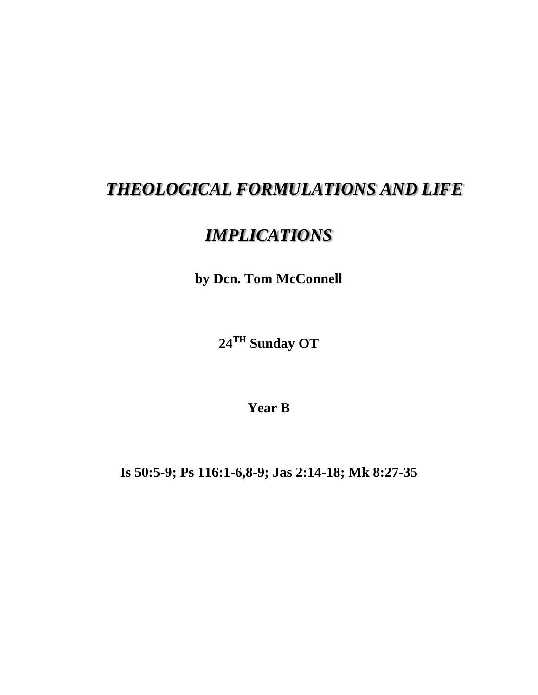## *THEOLOGICAL FORMULATIONS AND LIFE*

## *IMPLICATIONS*

**by Dcn. Tom McConnell**

**24TH Sunday OT**

**Year B**

**Is 50:5-9; Ps 116:1-6,8-9; Jas 2:14-18; Mk 8:27-35**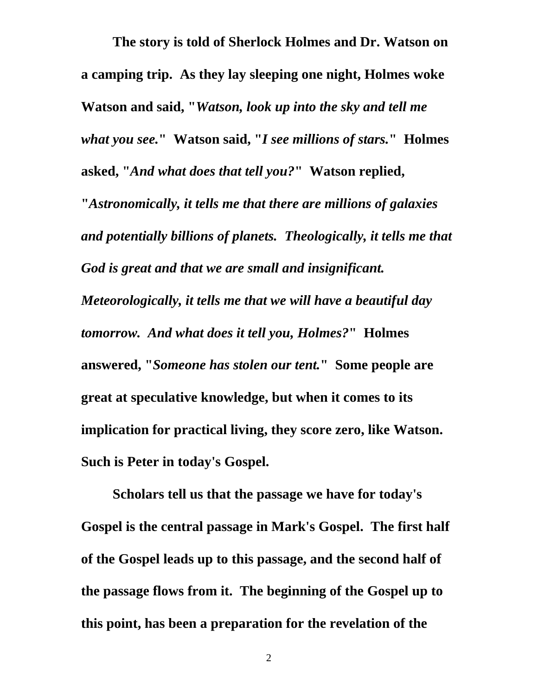**The story is told of Sherlock Holmes and Dr. Watson on a camping trip. As they lay sleeping one night, Holmes woke Watson and said, "***Watson, look up into the sky and tell me what you see.***" Watson said, "***I see millions of stars.***" Holmes asked, "***And what does that tell you?***" Watson replied, "***Astronomically, it tells me that there are millions of galaxies and potentially billions of planets. Theologically, it tells me that God is great and that we are small and insignificant. Meteorologically, it tells me that we will have a beautiful day tomorrow. And what does it tell you, Holmes?***" Holmes answered, "***Someone has stolen our tent.***" Some people are great at speculative knowledge, but when it comes to its implication for practical living, they score zero, like Watson. Such is Peter in today's Gospel.**

**Scholars tell us that the passage we have for today's Gospel is the central passage in Mark's Gospel. The first half of the Gospel leads up to this passage, and the second half of the passage flows from it. The beginning of the Gospel up to this point, has been a preparation for the revelation of the**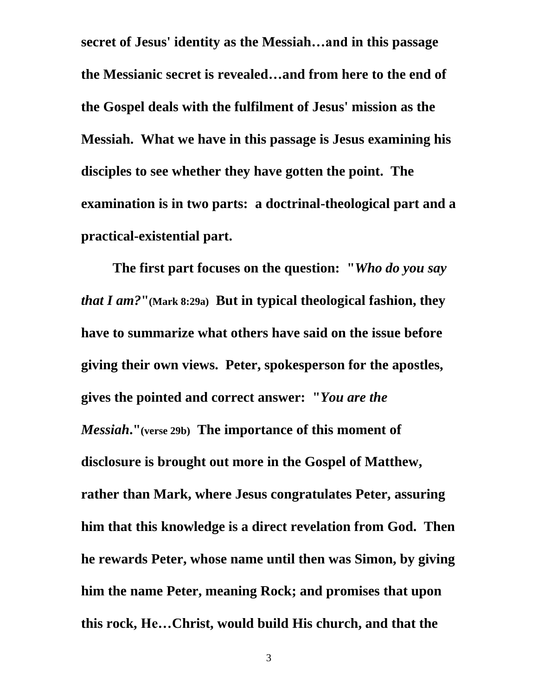**secret of Jesus' identity as the Messiah…and in this passage the Messianic secret is revealed…and from here to the end of the Gospel deals with the fulfilment of Jesus' mission as the Messiah. What we have in this passage is Jesus examining his disciples to see whether they have gotten the point. The examination is in two parts: a doctrinal-theological part and a practical-existential part.**

**The first part focuses on the question: "***Who do you say that I am?***"(Mark 8:29a) But in typical theological fashion, they have to summarize what others have said on the issue before giving their own views. Peter, spokesperson for the apostles, gives the pointed and correct answer: "***You are the Messiah***."(verse 29b) The importance of this moment of disclosure is brought out more in the Gospel of Matthew, rather than Mark, where Jesus congratulates Peter, assuring him that this knowledge is a direct revelation from God. Then he rewards Peter, whose name until then was Simon, by giving him the name Peter, meaning Rock; and promises that upon this rock, He…Christ, would build His church, and that the**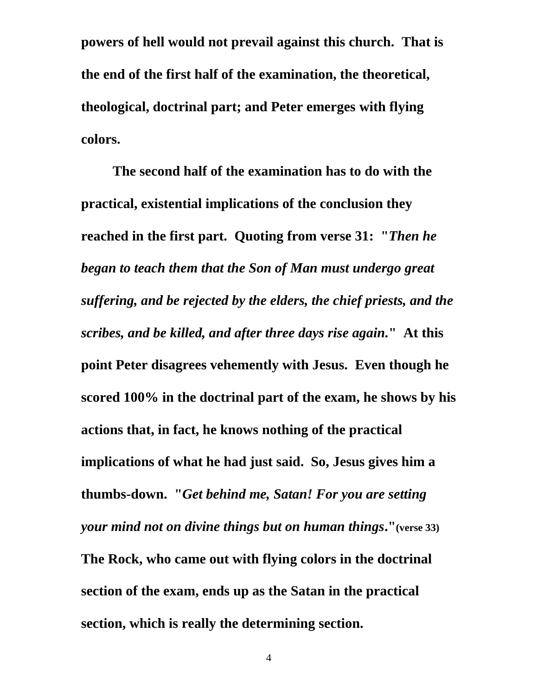**powers of hell would not prevail against this church. That is the end of the first half of the examination, the theoretical, theological, doctrinal part; and Peter emerges with flying colors.**

**The second half of the examination has to do with the practical, existential implications of the conclusion they reached in the first part. Quoting from verse 31: "***Then he began to teach them that the Son of Man must undergo great suffering, and be rejected by the elders, the chief priests, and the scribes, and be killed, and after three days rise again.***" At this point Peter disagrees vehemently with Jesus. Even though he scored 100% in the doctrinal part of the exam, he shows by his actions that, in fact, he knows nothing of the practical implications of what he had just said. So, Jesus gives him a thumbs-down. "***Get behind me, Satan! For you are setting your mind not on divine things but on human things***."(verse 33) The Rock, who came out with flying colors in the doctrinal section of the exam, ends up as the Satan in the practical section, which is really the determining section.**

4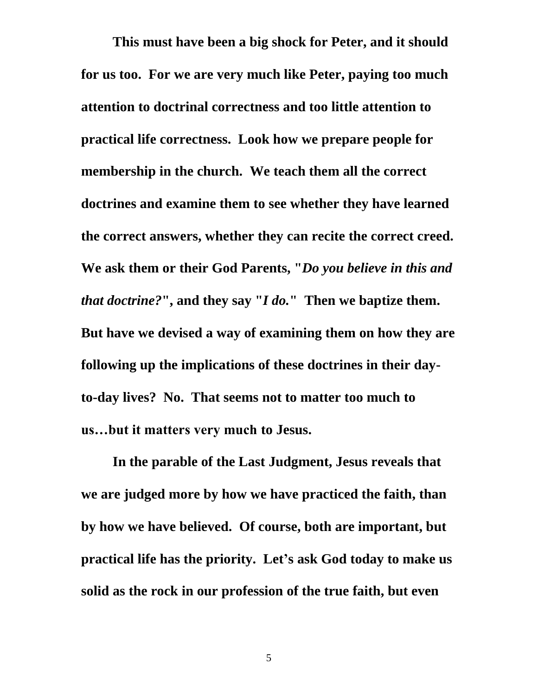**This must have been a big shock for Peter, and it should for us too. For we are very much like Peter, paying too much attention to doctrinal correctness and too little attention to practical life correctness. Look how we prepare people for membership in the church. We teach them all the correct doctrines and examine them to see whether they have learned the correct answers, whether they can recite the correct creed. We ask them or their God Parents, "***Do you believe in this and that doctrine?***" , and they say "***I do.***" Then we baptize them. But have we devised a way of examining them on how they are following up the implications of these doctrines in their dayto-day lives? No. That seems not to matter too much to us…but it matters very much to Jesus.**

**In the parable of the Last Judgment, Jesus reveals that we are judged more by how we have practiced the faith, than by how we have believed. Of course, both are important, but practical life has the priority. Let's ask God today to make us solid as the rock in our profession of the true faith, but even** 

5